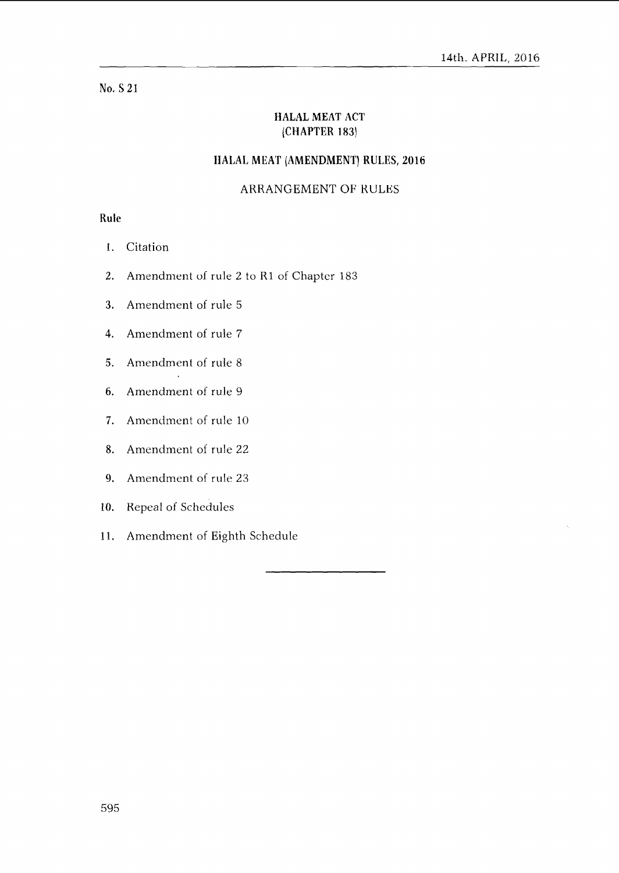# **No.** *5* 21

# **IIALAL MEAT ACT (CHAPTER 1 83)**

## **IIALAL MEAT (AMENDMENT) RULES, 2016**

## ARRANGEMENT OF RULES

# **Rule**

- I. Citation
- 2. Amendment of rule 2 to R1 of Chapter 183
- **3.** Amendment of rule 5
- 4. Amendment of rule 7
- 5. Amendment of rule 8
- 6. Amendment of rule 9
- **7.** Amendment of rule 10
- 8. Amendment of rule 22
- 9. Amendment of rule 23
- 10. Repeal of Schedules
- 11. Amendment of Eighth Schedule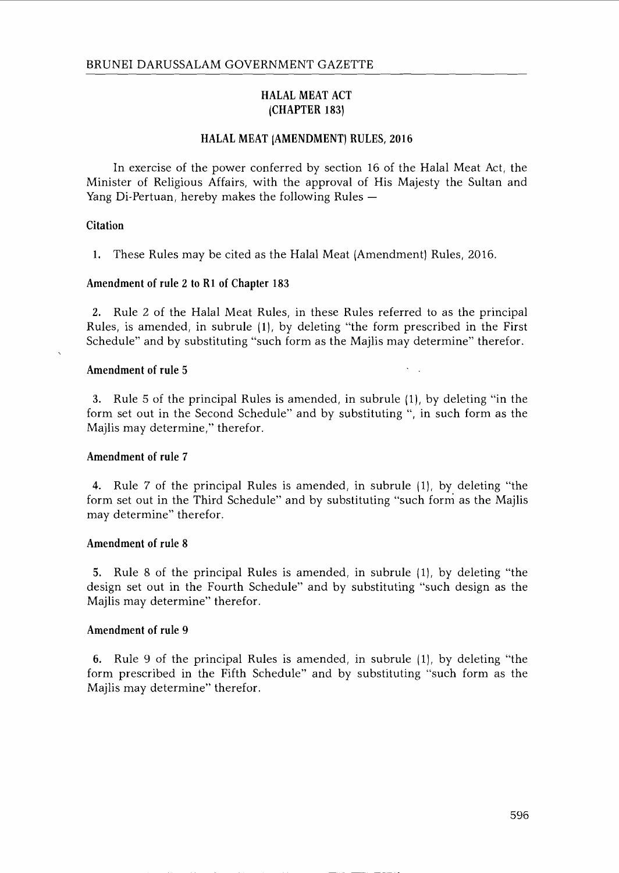## HALAL MEAT ACT (CHAPTER 183)

#### HALAL MEAT (AMENDMENT) RULES, 2016

In exercise of the power conferred by section 16 of the Halal Meat Act, the Minister of Religious Affairs, with the approval of His Majesty the Sultan and<br>Yang Di-Pertuan, hereby makes the following Rules —

### Citation

1. These Rules may be cited as the Halal Meat (Amendment) Rules, 2016.

### Amendment of rule 2 to Rl of Chapter 183

**2.** Rule 2 of the Halal Meat Rules, in these Rules referred to as the principal Rules, is amended, in subrule (I), by deleting "the form prescribed in the First Schedule" and by substituting "such form as the Majlis may determine" therefor.

#### Amendment of rule 5

3. Rule 5 of the principal Rules is amended, in subrule (I), by deleting "in the form set out in the Second Schedule" and by substituting ", in such form as the Majlis may determine," therefor.

#### Amendment of rule **7**

**4.** Rule 7 of the principal Rules is amended, in subrule (I), by deleting "the form set out in the Third Schedule" and by substituting "such form as the Majlis may determine" therefor.

#### Amendment of rule 8

**5.** Rule 8 of the principal Rules is amended, in subrule (I), by deleting "the design set out in the Fourth Schedule" and by substituting "such design as the Majlis may determine" therefor.

#### Amendment of rule 9

6. Rule 9 of the principal Rules is amended, in subrule (I), by deleting "the form prescribed in the Fifth Schedule" and by substituting "such form as the Majlis may determine" therefor.